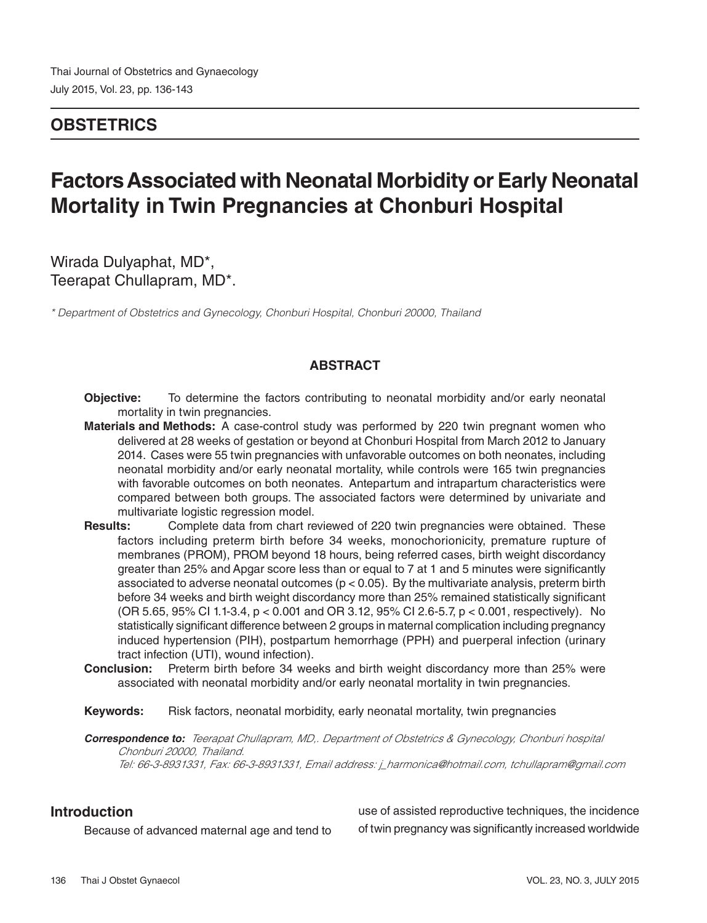## **OBSTETRICS**

# **Factors Associated with Neonatal Morbidity or Early Neonatal Mortality in Twin Pregnancies at Chonburi Hospital**

Wirada Dulyaphat, MD\*, Teerapat Chullapram, MD\*.

*\* Department of Obstetrics and Gynecology, Chonburi Hospital, Chonburi 20000, Thailand*

#### **ABSTRACT**

- **Objective:** To determine the factors contributing to neonatal morbidity and/or early neonatal mortality in twin pregnancies.
- **Materials and Methods:** A case-control study was performed by 220 twin pregnant women who delivered at 28 weeks of gestation or beyond at Chonburi Hospital from March 2012 to January 2014. Cases were 55 twin pregnancies with unfavorable outcomes on both neonates, including neonatal morbidity and/or early neonatal mortality, while controls were 165 twin pregnancies with favorable outcomes on both neonates. Antepartum and intrapartum characteristics were compared between both groups. The associated factors were determined by univariate and multivariate logistic regression model.
- **Results:** Complete data from chart reviewed of 220 twin pregnancies were obtained. These factors including preterm birth before 34 weeks, monochorionicity, premature rupture of membranes (PROM), PROM beyond 18 hours, being referred cases, birth weight discordancy greater than 25% and Apgar score less than or equal to 7 at 1 and 5 minutes were significantly associated to adverse neonatal outcomes ( $p < 0.05$ ). By the multivariate analysis, preterm birth before 34 weeks and birth weight discordancy more than 25% remained statistically significant (OR 5.65, 95% CI 1.1-3.4, p < 0.001 and OR 3.12, 95% CI 2.6-5.7, p < 0.001, respectively). No statistically significant difference between 2 groups in maternal complication including pregnancy induced hypertension (PIH), postpartum hemorrhage (PPH) and puerperal infection (urinary tract infection (UTI), wound infection).
- **Conclusion:** Preterm birth before 34 weeks and birth weight discordancy more than 25% were associated with neonatal morbidity and/or early neonatal mortality in twin pregnancies.
- **Keywords:** Risk factors, neonatal morbidity, early neonatal mortality, twin pregnancies

**Correspondence to:** *Teerapat Chullapram, MD,. Department of Obstetrics & Gynecology, Chonburi hospital Chonburi 20000, Thailand. Tel: 66-3-8931331, Fax: 66-3-8931331, Email address: j\_harmonica@hotmail.com, tchullapram@gmail.com*

#### **Introduction**

Because of advanced maternal age and tend to

use of assisted reproductive techniques, the incidence of twin pregnancy was significantly increased worldwide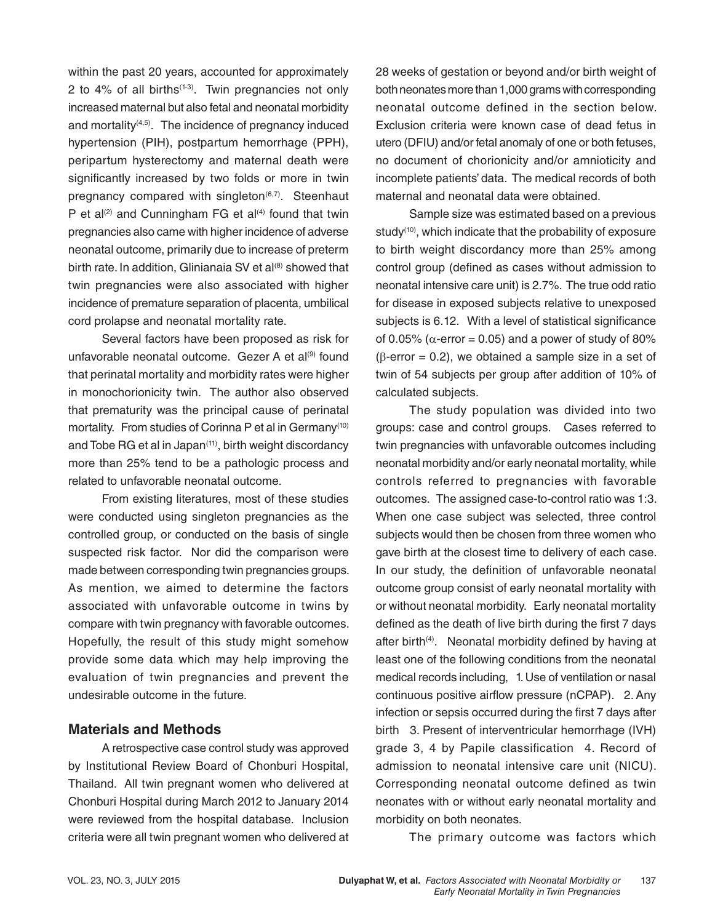within the past 20 years, accounted for approximately 2 to  $4\%$  of all births<sup> $(1-3)$ </sup>. Twin pregnancies not only increased maternal but also fetal and neonatal morbidity and mortality $(4,5)$ . The incidence of pregnancy induced hypertension (PIH), postpartum hemorrhage (PPH), peripartum hysterectomy and maternal death were significantly increased by two folds or more in twin pregnancy compared with singleton $(6,7)$ . Steenhaut P et al<sup>(2)</sup> and Cunningham FG et al<sup>(4)</sup> found that twin pregnancies also came with higher incidence of adverse neonatal outcome, primarily due to increase of preterm birth rate. In addition, Glinianaia SV et al<sup>(8)</sup> showed that twin pregnancies were also associated with higher incidence of premature separation of placenta, umbilical cord prolapse and neonatal mortality rate.

Several factors have been proposed as risk for unfavorable neonatal outcome. Gezer A et al<sup>(9)</sup> found that perinatal mortality and morbidity rates were higher in monochorionicity twin. The author also observed that prematurity was the principal cause of perinatal mortality. From studies of Corinna P et al in Germany<sup>(10)</sup> and Tobe RG et al in Japan<sup>(11)</sup>, birth weight discordancy more than 25% tend to be a pathologic process and related to unfavorable neonatal outcome.

From existing literatures, most of these studies were conducted using singleton pregnancies as the controlled group, or conducted on the basis of single suspected risk factor. Nor did the comparison were made between corresponding twin pregnancies groups. As mention, we aimed to determine the factors associated with unfavorable outcome in twins by compare with twin pregnancy with favorable outcomes. Hopefully, the result of this study might somehow provide some data which may help improving the evaluation of twin pregnancies and prevent the undesirable outcome in the future.

#### **Materials and Methods**

A retrospective case control study was approved by Institutional Review Board of Chonburi Hospital, Thailand. All twin pregnant women who delivered at Chonburi Hospital during March 2012 to January 2014 were reviewed from the hospital database. Inclusion criteria were all twin pregnant women who delivered at 28 weeks of gestation or beyond and/or birth weight of both neonates more than 1,000 grams with corresponding neonatal outcome defined in the section below. Exclusion criteria were known case of dead fetus in utero (DFIU) and/or fetal anomaly of one or both fetuses, no document of chorionicity and/or amnioticity and incomplete patients' data. The medical records of both maternal and neonatal data were obtained.

Sample size was estimated based on a previous study<sup>(10)</sup>, which indicate that the probability of exposure to birth weight discordancy more than 25% among control group (defined as cases without admission to neonatal intensive care unit) is 2.7%. The true odd ratio for disease in exposed subjects relative to unexposed subjects is 6.12. With a level of statistical significance of 0.05% ( $\alpha$ -error = 0.05) and a power of study of 80%  $(\beta$ -error = 0.2), we obtained a sample size in a set of twin of 54 subjects per group after addition of 10% of calculated subjects.

The study population was divided into two groups: case and control groups. Cases referred to twin pregnancies with unfavorable outcomes including neonatal morbidity and/or early neonatal mortality, while controls referred to pregnancies with favorable outcomes. The assigned case-to-control ratio was 1:3. When one case subject was selected, three control subjects would then be chosen from three women who gave birth at the closest time to delivery of each case. In our study, the definition of unfavorable neonatal outcome group consist of early neonatal mortality with or without neonatal morbidity. Early neonatal mortality defined as the death of live birth during the first 7 days after birth<sup>(4)</sup>. Neonatal morbidity defined by having at least one of the following conditions from the neonatal medical records including, 1. Use of ventilation or nasal continuous positive airflow pressure (nCPAP). 2. Any infection or sepsis occurred during the first 7 days after birth 3. Present of interventricular hemorrhage (IVH) grade 3, 4 by Papile classification 4. Record of admission to neonatal intensive care unit (NICU). Corresponding neonatal outcome defined as twin neonates with or without early neonatal mortality and morbidity on both neonates.

The primary outcome was factors which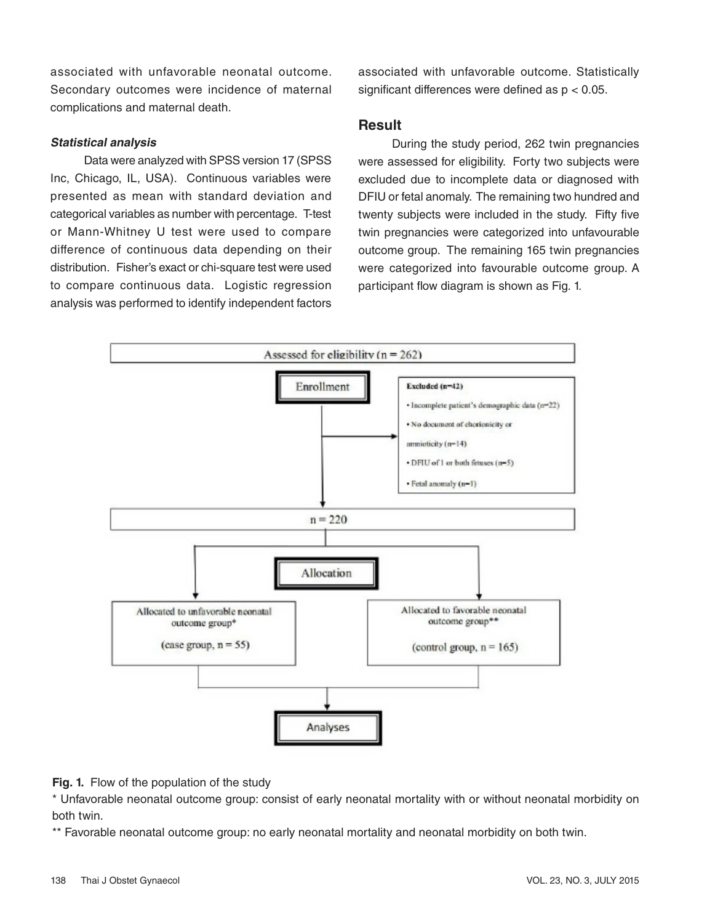associated with unfavorable neonatal outcome. Secondary outcomes were incidence of maternal complications and maternal death.

#### **Statistical analysis**

Data were analyzed with SPSS version 17 (SPSS Inc, Chicago, IL, USA). Continuous variables were presented as mean with standard deviation and categorical variables as number with percentage. T-test or Mann-Whitney U test were used to compare difference of continuous data depending on their distribution. Fisher's exact or chi-square test were used to compare continuous data. Logistic regression analysis was performed to identify independent factors

associated with unfavorable outcome. Statistically significant differences were defined as  $p < 0.05$ .

#### **Result**

During the study period, 262 twin pregnancies were assessed for eligibility. Forty two subjects were excluded due to incomplete data or diagnosed with DFIU or fetal anomaly. The remaining two hundred and twenty subjects were included in the study. Fifty five twin pregnancies were categorized into unfavourable outcome group. The remaining 165 twin pregnancies were categorized into favourable outcome group. A participant flow diagram is shown as Fig. 1.



**Fig. 1.** Flow of the population of the study

\* Unfavorable neonatal outcome group: consist of early neonatal mortality with or without neonatal morbidity on both twin.

\*\* Favorable neonatal outcome group: no early neonatal mortality and neonatal morbidity on both twin.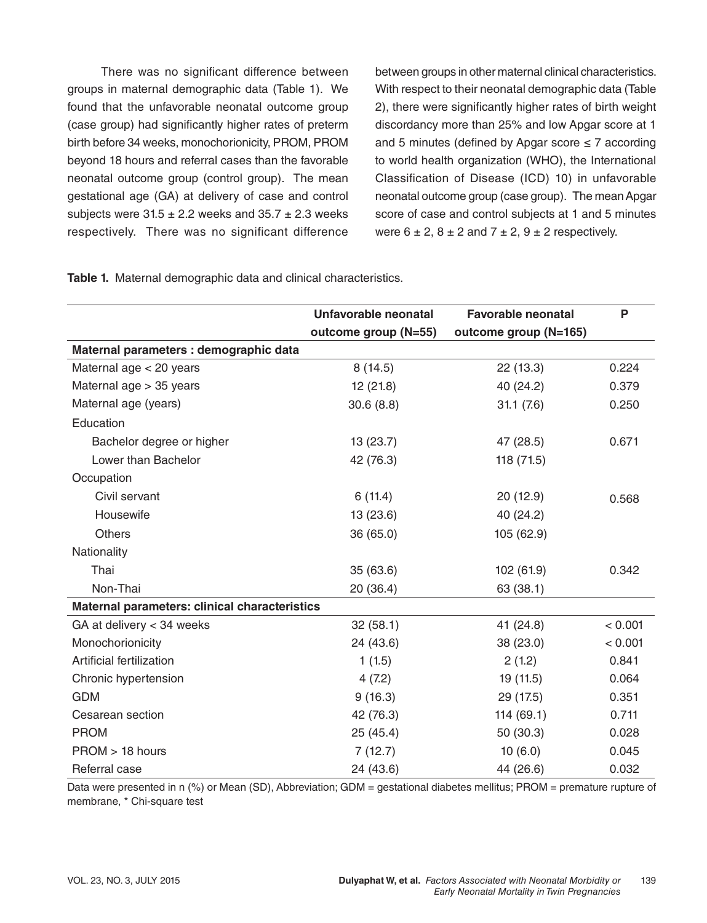There was no significant difference between groups in maternal demographic data (Table 1). We found that the unfavorable neonatal outcome group (case group) had significantly higher rates of preterm birth before 34 weeks, monochorionicity, PROM, PROM beyond 18 hours and referral cases than the favorable neonatal outcome group (control group). The mean gestational age (GA) at delivery of case and control subjects were  $31.5 \pm 2.2$  weeks and  $35.7 \pm 2.3$  weeks respectively. There was no significant difference

between groups in other maternal clinical characteristics. With respect to their neonatal demographic data (Table 2), there were significantly higher rates of birth weight discordancy more than 25% and low Apgar score at 1 and 5 minutes (defined by Apgar score  $\leq$  7 according to world health organization (WHO), the International Classification of Disease (ICD) 10) in unfavorable neonatal outcome group (case group). The mean Apgar score of case and control subjects at 1 and 5 minutes were  $6 \pm 2$ ,  $8 \pm 2$  and  $7 \pm 2$ ,  $9 \pm 2$  respectively.

| Table 1. Maternal demographic data and clinical characteristics. |
|------------------------------------------------------------------|
|------------------------------------------------------------------|

|                                               | Unfavorable neonatal | <b>Favorable neonatal</b> | P       |
|-----------------------------------------------|----------------------|---------------------------|---------|
|                                               | outcome group (N=55) | outcome group (N=165)     |         |
| Maternal parameters : demographic data        |                      |                           |         |
| Maternal age < 20 years                       | 8(14.5)              | 22 (13.3)                 | 0.224   |
| Maternal age > 35 years                       | 12(21.8)             | 40 (24.2)                 | 0.379   |
| Maternal age (years)                          | 30.6(8.8)            | 31.1(7.6)                 | 0.250   |
| Education                                     |                      |                           |         |
| Bachelor degree or higher                     | 13 (23.7)            | 47 (28.5)                 | 0.671   |
| Lower than Bachelor                           | 42 (76.3)            | 118 (71.5)                |         |
| Occupation                                    |                      |                           |         |
| Civil servant                                 | 6(11.4)              | 20(12.9)                  | 0.568   |
| Housewife                                     | 13 (23.6)            | 40 (24.2)                 |         |
| <b>Others</b>                                 | 36 (65.0)            | 105 (62.9)                |         |
| Nationality                                   |                      |                           |         |
| Thai                                          | 35(63.6)             | 102 (61.9)                | 0.342   |
| Non-Thai                                      | 20(36.4)             | 63 (38.1)                 |         |
| Maternal parameters: clinical characteristics |                      |                           |         |
| GA at delivery < 34 weeks                     | 32(58.1)             | 41 (24.8)                 | < 0.001 |
| Monochorionicity                              | 24 (43.6)            | 38 (23.0)                 | < 0.001 |
| Artificial fertilization                      | 1(1.5)               | 2(1.2)                    | 0.841   |
| Chronic hypertension                          | 4(7.2)               | 19 (11.5)                 | 0.064   |
| <b>GDM</b>                                    | 9(16.3)              | 29 (17.5)                 | 0.351   |
| Cesarean section                              | 42 (76.3)            | 114(69.1)                 | 0.711   |
| <b>PROM</b>                                   | 25(45.4)             | 50 (30.3)                 | 0.028   |
| PROM > 18 hours                               | 7(12.7)              | 10(6.0)                   | 0.045   |
| Referral case                                 | 24 (43.6)            | 44 (26.6)                 | 0.032   |

Data were presented in n (%) or Mean (SD), Abbreviation; GDM = gestational diabetes mellitus; PROM = premature rupture of membrane, \* Chi-square test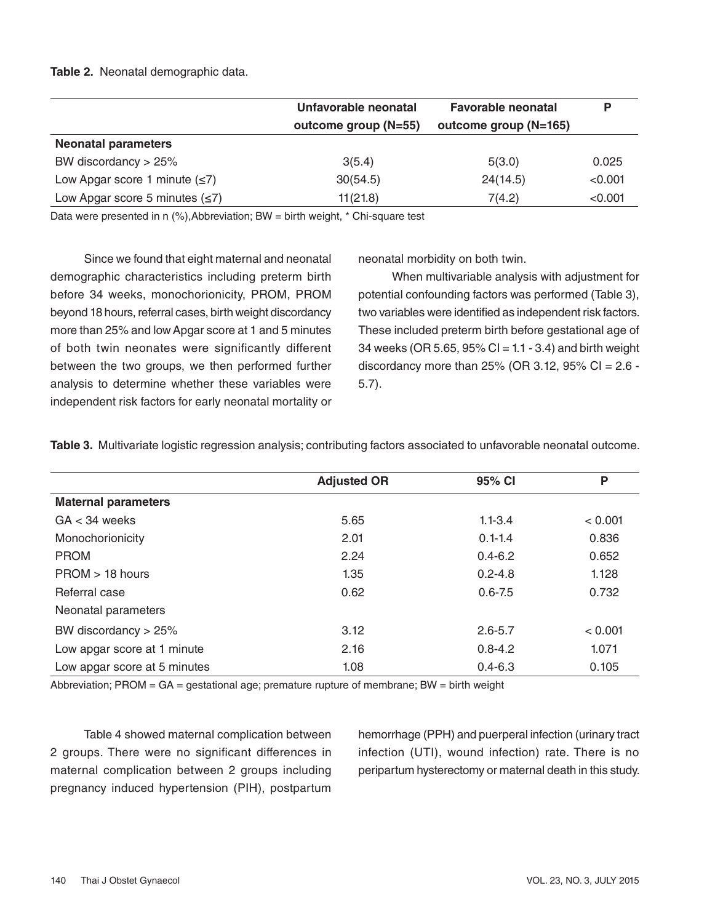#### **Table 2.** Neonatal demographic data.

|                                      | Unfavorable neonatal<br>outcome group (N=55) | <b>Favorable neonatal</b><br>outcome group (N=165) |         |
|--------------------------------------|----------------------------------------------|----------------------------------------------------|---------|
| <b>Neonatal parameters</b>           |                                              |                                                    |         |
| BW discordancy $> 25\%$              | 3(5.4)                                       | 5(3.0)                                             | 0.025   |
| Low Apgar score 1 minute $(\leq 7)$  | 30(54.5)                                     | 24(14.5)                                           | < 0.001 |
| Low Apgar score 5 minutes $(\leq 7)$ | 11(21.8)                                     | 7(4.2)                                             | < 0.001 |

Data were presented in n (%), Abbreviation; BW = birth weight, \* Chi-square test

Since we found that eight maternal and neonatal demographic characteristics including preterm birth before 34 weeks, monochorionicity, PROM, PROM beyond 18 hours, referral cases, birth weight discordancy more than 25% and low Apgar score at 1 and 5 minutes of both twin neonates were significantly different between the two groups, we then performed further analysis to determine whether these variables were independent risk factors for early neonatal mortality or neonatal morbidity on both twin.

When multivariable analysis with adjustment for potential confounding factors was performed (Table 3), two variables were identified as independent risk factors. These included preterm birth before gestational age of 34 weeks (OR 5.65,  $95\%$  Cl = 1.1 - 3.4) and birth weight discordancy more than  $25%$  (OR 3.12, 95% CI = 2.6 -5.7).

|                              | <b>Adjusted OR</b> | 95% CI      | P       |
|------------------------------|--------------------|-------------|---------|
| <b>Maternal parameters</b>   |                    |             |         |
| $GA < 34$ weeks              | 5.65               | $1.1 - 3.4$ | < 0.001 |
| Monochorionicity             | 2.01               | $0.1 - 1.4$ | 0.836   |
| <b>PROM</b>                  | 2.24               | $0.4 - 6.2$ | 0.652   |
| $PROM > 18$ hours            | 1.35               | $0.2 - 4.8$ | 1.128   |
| Referral case                | 0.62               | $0.6 - 7.5$ | 0.732   |
| Neonatal parameters          |                    |             |         |
| BW discordancy $> 25\%$      | 3.12               | $2.6 - 5.7$ | < 0.001 |
| Low apgar score at 1 minute  | 2.16               | $0.8 - 4.2$ | 1.071   |
| Low apgar score at 5 minutes | 1.08               | $0.4 - 6.3$ | 0.105   |

**Table 3.** Multivariate logistic regression analysis; contributing factors associated to unfavorable neonatal outcome.

Abbreviation; PROM = GA = gestational age; premature rupture of membrane; BW = birth weight

Table 4 showed maternal complication between 2 groups. There were no significant differences in maternal complication between 2 groups including pregnancy induced hypertension (PIH), postpartum

hemorrhage (PPH) and puerperal infection (urinary tract infection (UTI), wound infection) rate. There is no peripartum hysterectomy or maternal death in this study.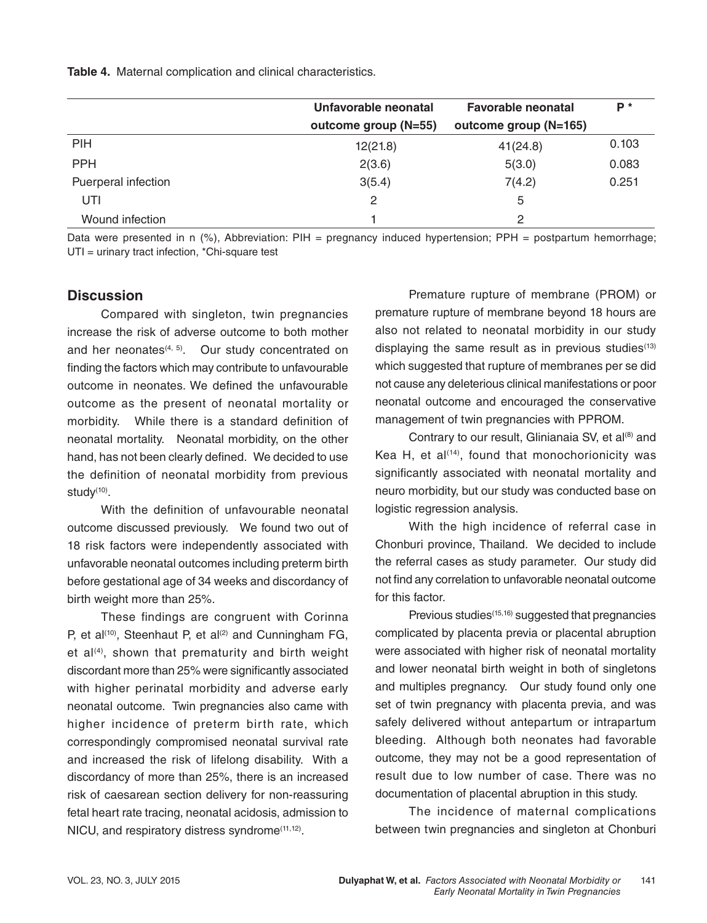**Table 4.** Maternal complication and clinical characteristics.

|                     | Unfavorable neonatal | <b>Favorable neonatal</b> | P*    |
|---------------------|----------------------|---------------------------|-------|
|                     | outcome group (N=55) | outcome group (N=165)     |       |
| <b>PIH</b>          | 12(21.8)             | 41(24.8)                  | 0.103 |
| <b>PPH</b>          | 2(3.6)               | 5(3.0)                    | 0.083 |
| Puerperal infection | 3(5.4)               | 7(4.2)                    | 0.251 |
| UTI                 | 2                    | 5                         |       |
| Wound infection     |                      | $\mathcal{P}$             |       |

Data were presented in n (%), Abbreviation: PIH = pregnancy induced hypertension; PPH = postpartum hemorrhage; UTI = urinary tract infection, \*Chi-square test

#### **Discussion**

Compared with singleton, twin pregnancies increase the risk of adverse outcome to both mother and her neonates $(4, 5)$ . Our study concentrated on finding the factors which may contribute to unfavourable outcome in neonates. We defined the unfavourable outcome as the present of neonatal mortality or morbidity. While there is a standard definition of neonatal mortality. Neonatal morbidity, on the other hand, has not been clearly defined. We decided to use the definition of neonatal morbidity from previous study $(10)$ .

With the definition of unfavourable neonatal outcome discussed previously. We found two out of 18 risk factors were independently associated with unfavorable neonatal outcomes including preterm birth before gestational age of 34 weeks and discordancy of birth weight more than 25%.

These findings are congruent with Corinna P, et al<sup> $(10)$ </sup>, Steenhaut P, et al $(2)$  and Cunningham FG, et  $al^{(4)}$ , shown that prematurity and birth weight discordant more than 25% were significantly associated with higher perinatal morbidity and adverse early neonatal outcome. Twin pregnancies also came with higher incidence of preterm birth rate, which correspondingly compromised neonatal survival rate and increased the risk of lifelong disability. With a discordancy of more than 25%, there is an increased risk of caesarean section delivery for non-reassuring fetal heart rate tracing, neonatal acidosis, admission to NICU, and respiratory distress syndrome<sup>(11,12)</sup>.

Premature rupture of membrane (PROM) or premature rupture of membrane beyond 18 hours are also not related to neonatal morbidity in our study displaying the same result as in previous studies $(13)$ which suggested that rupture of membranes per se did not cause any deleterious clinical manifestations or poor neonatal outcome and encouraged the conservative management of twin pregnancies with PPROM.

Contrary to our result, Glinianaia SV, et al<sup>(8)</sup> and Kea H, et al $(14)$ , found that monochorionicity was significantly associated with neonatal mortality and neuro morbidity, but our study was conducted base on logistic regression analysis.

With the high incidence of referral case in Chonburi province, Thailand. We decided to include the referral cases as study parameter. Our study did not find any correlation to unfavorable neonatal outcome for this factor.

Previous studies<sup>(15,16)</sup> suggested that pregnancies complicated by placenta previa or placental abruption were associated with higher risk of neonatal mortality and lower neonatal birth weight in both of singletons and multiples pregnancy. Our study found only one set of twin pregnancy with placenta previa, and was safely delivered without antepartum or intrapartum bleeding. Although both neonates had favorable outcome, they may not be a good representation of result due to low number of case. There was no documentation of placental abruption in this study.

The incidence of maternal complications between twin pregnancies and singleton at Chonburi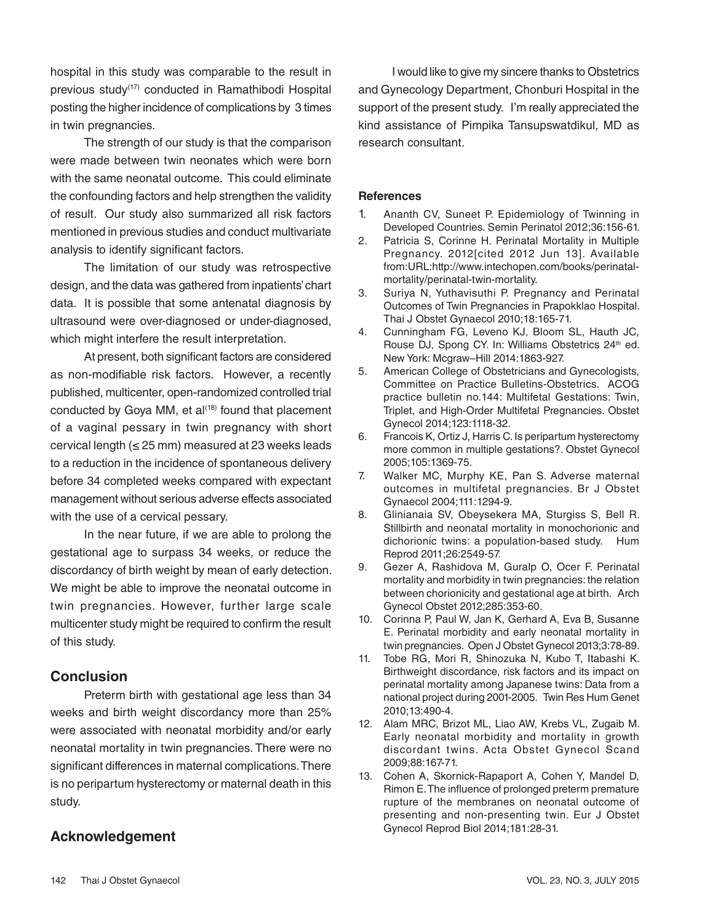hospital in this study was comparable to the result in previous study(17) conducted in Ramathibodi Hospital posting the higher incidence of complications by 3 times in twin pregnancies.

The strength of our study is that the comparison were made between twin neonates which were born with the same neonatal outcome. This could eliminate the confounding factors and help strengthen the validity of result. Our study also summarized all risk factors mentioned in previous studies and conduct multivariate analysis to identify significant factors.

The limitation of our study was retrospective design, and the data was gathered from inpatients' chart data. It is possible that some antenatal diagnosis by ultrasound were over-diagnosed or under-diagnosed, which might interfere the result interpretation.

At present, both significant factors are considered as non-modifiable risk factors. However, a recently published, multicenter, open-randomized controlled trial conducted by Goya MM, et al<sup>(18)</sup> found that placement of a vaginal pessary in twin pregnancy with short cervical length ( $\leq$  25 mm) measured at 23 weeks leads to a reduction in the incidence of spontaneous delivery before 34 completed weeks compared with expectant management without serious adverse effects associated with the use of a cervical pessary.

In the near future, if we are able to prolong the gestational age to surpass 34 weeks, or reduce the discordancy of birth weight by mean of early detection. We might be able to improve the neonatal outcome in twin pregnancies. However, further large scale multicenter study might be required to confirm the result of this study.

#### **Conclusion**

Preterm birth with gestational age less than 34 weeks and birth weight discordancy more than 25% were associated with neonatal morbidity and/or early neonatal mortality in twin pregnancies. There were no significant differences in maternal complications. There is no peripartum hysterectomy or maternal death in this study.

### I would like to give my sincere thanks to Obstetrics and Gynecology Department, Chonburi Hospital in the support of the present study. I'm really appreciated the kind assistance of Pimpika Tansupswatdikul, MD as research consultant.

#### **References**

- 1. Ananth CV, Suneet P. Epidemiology of Twinning in Developed Countries. Semin Perinatol 2012;36:156-61.
- 2. Patricia S, Corinne H. Perinatal Mortality in Multiple Pregnancy. 2012[cited 2012 Jun 13]. Available from:URL:http://www.intechopen.com/books/perinatalmortality/perinatal-twin-mortality.
- 3. Suriya N, Yuthavisuthi P. Pregnancy and Perinatal Outcomes of Twin Pregnancies in Prapokklao Hospital. Thai J Obstet Gynaecol 2010;18:165-71.
- 4. Cunningham FG, Leveno KJ, Bloom SL, Hauth JC, Rouse DJ, Spong CY. In: Williams Obstetrics 24<sup>th</sup> ed. New York: Mcgraw–Hill 2014:1863-927.
- 5. American College of Obstetricians and Gynecologists, Committee on Practice Bulletins-Obstetrics. ACOG practice bulletin no.144: Multifetal Gestations: Twin, Triplet, and High-Order Multifetal Pregnancies. Obstet Gynecol 2014;123:1118-32.
- 6. Francois K, Ortiz J, Harris C. Is peripartum hysterectomy more common in multiple gestations?. Obstet Gynecol 2005;105:1369-75.
- 7. Walker MC, Murphy KE, Pan S. Adverse maternal outcomes in multifetal pregnancies. Br J Obstet Gynaecol 2004;111:1294-9.
- 8. Glinianaia SV, Obeysekera MA, Sturgiss S, Bell R. Stillbirth and neonatal mortality in monochorionic and dichorionic twins: a population-based study. Hum Reprod 2011;26:2549-57.
- 9. Gezer A, Rashidova M, Guralp O, Ocer F. Perinatal mortality and morbidity in twin pregnancies: the relation between chorionicity and gestational age at birth. Arch Gynecol Obstet 2012;285:353-60.
- 10. Corinna P, Paul W, Jan K, Gerhard A, Eva B, Susanne E. Perinatal morbidity and early neonatal mortality in twin pregnancies. Open J Obstet Gynecol 2013;3:78-89.
- 11. Tobe RG, Mori R, Shinozuka N, Kubo T, Itabashi K. Birthweight discordance, risk factors and its impact on perinatal mortality among Japanese twins: Data from a national project during 2001-2005. Twin Res Hum Genet 2010;13:490-4.
- 12. Alam MRC, Brizot ML, Liao AW, Krebs VL, Zugaib M. Early neonatal morbidity and mortality in growth discordant twins. Acta Obstet Gynecol Scand 2009;88:167-71.
- 13. Cohen A, Skornick-Rapaport A, Cohen Y, Mandel D, Rimon E. The influence of prolonged preterm premature rupture of the membranes on neonatal outcome of presenting and non-presenting twin. Eur J Obstet Gynecol Reprod Biol 2014;181:28-31.

## **Acknowledgement**